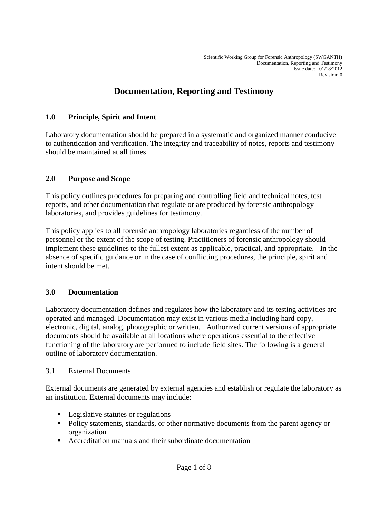# **Documentation, Reporting and Testimony**

### **1.0 Principle, Spirit and Intent**

Laboratory documentation should be prepared in a systematic and organized manner conducive to authentication and verification. The integrity and traceability of notes, reports and testimony should be maintained at all times.

### **2.0 Purpose and Scope**

This policy outlines procedures for preparing and controlling field and technical notes, test reports, and other documentation that regulate or are produced by forensic anthropology laboratories, and provides guidelines for testimony.

This policy applies to all forensic anthropology laboratories regardless of the number of personnel or the extent of the scope of testing. Practitioners of forensic anthropology should implement these guidelines to the fullest extent as applicable, practical, and appropriate. In the absence of specific guidance or in the case of conflicting procedures, the principle, spirit and intent should be met.

### **3.0 Documentation**

Laboratory documentation defines and regulates how the laboratory and its testing activities are operated and managed. Documentation may exist in various media including hard copy, electronic, digital, analog, photographic or written. Authorized current versions of appropriate documents should be available at all locations where operations essential to the effective functioning of the laboratory are performed to include field sites. The following is a general outline of laboratory documentation.

### 3.1 External Documents

External documents are generated by external agencies and establish or regulate the laboratory as an institution. External documents may include:

- **Legislative statutes or regulations**
- Policy statements, standards, or other normative documents from the parent agency or organization
- Accreditation manuals and their subordinate documentation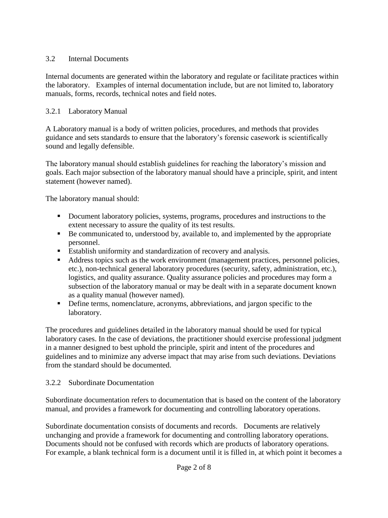### 3.2 Internal Documents

Internal documents are generated within the laboratory and regulate or facilitate practices within the laboratory. Examples of internal documentation include, but are not limited to, laboratory manuals, forms, records, technical notes and field notes.

### 3.2.1 Laboratory Manual

A Laboratory manual is a body of written policies, procedures, and methods that provides guidance and sets standards to ensure that the laboratory's forensic casework is scientifically sound and legally defensible.

The laboratory manual should establish guidelines for reaching the laboratory's mission and goals. Each major subsection of the laboratory manual should have a principle, spirit, and intent statement (however named).

The laboratory manual should:

- Document laboratory policies, systems, programs, procedures and instructions to the extent necessary to assure the quality of its test results.
- Be communicated to, understood by, available to, and implemented by the appropriate personnel.
- Establish uniformity and standardization of recovery and analysis.
- Address topics such as the work environment (management practices, personnel policies, etc.), non-technical general laboratory procedures (security, safety, administration, etc.), logistics, and quality assurance. Quality assurance policies and procedures may form a subsection of the laboratory manual or may be dealt with in a separate document known as a quality manual (however named).
- Define terms, nomenclature, acronyms, abbreviations, and jargon specific to the laboratory.

The procedures and guidelines detailed in the laboratory manual should be used for typical laboratory cases. In the case of deviations, the practitioner should exercise professional judgment in a manner designed to best uphold the principle, spirit and intent of the procedures and guidelines and to minimize any adverse impact that may arise from such deviations. Deviations from the standard should be documented.

### 3.2.2 Subordinate Documentation

Subordinate documentation refers to documentation that is based on the content of the laboratory manual, and provides a framework for documenting and controlling laboratory operations.

Subordinate documentation consists of documents and records. Documents are relatively unchanging and provide a framework for documenting and controlling laboratory operations. Documents should not be confused with records which are products of laboratory operations. For example, a blank technical form is a document until it is filled in, at which point it becomes a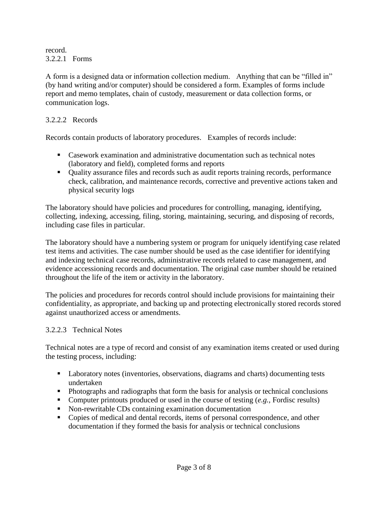record. 3.2.2.1 Forms

A form is a designed data or information collection medium. Anything that can be "filled in" (by hand writing and/or computer) should be considered a form. Examples of forms include report and memo templates, chain of custody, measurement or data collection forms, or communication logs.

### 3.2.2.2 Records

Records contain products of laboratory procedures. Examples of records include:

- Casework examination and administrative documentation such as technical notes (laboratory and field), completed forms and reports
- Ouality assurance files and records such as audit reports training records, performance check, calibration, and maintenance records, corrective and preventive actions taken and physical security logs

The laboratory should have policies and procedures for controlling, managing, identifying, collecting, indexing, accessing, filing, storing, maintaining, securing, and disposing of records, including case files in particular.

The laboratory should have a numbering system or program for uniquely identifying case related test items and activities. The case number should be used as the case identifier for identifying and indexing technical case records, administrative records related to case management, and evidence accessioning records and documentation. The original case number should be retained throughout the life of the item or activity in the laboratory.

The policies and procedures for records control should include provisions for maintaining their confidentiality, as appropriate, and backing up and protecting electronically stored records stored against unauthorized access or amendments.

### 3.2.2.3 Technical Notes

Technical notes are a type of record and consist of any examination items created or used during the testing process, including:

- Laboratory notes (inventories, observations, diagrams and charts) documenting tests undertaken
- Photographs and radiographs that form the basis for analysis or technical conclusions
- Computer printouts produced or used in the course of testing (*e.g.,* Fordisc results)
- Non-rewritable CDs containing examination documentation
- Copies of medical and dental records, items of personal correspondence, and other documentation if they formed the basis for analysis or technical conclusions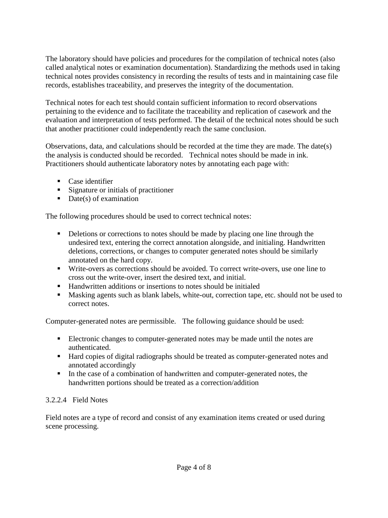The laboratory should have policies and procedures for the compilation of technical notes (also called analytical notes or examination documentation). Standardizing the methods used in taking technical notes provides consistency in recording the results of tests and in maintaining case file records, establishes traceability, and preserves the integrity of the documentation.

Technical notes for each test should contain sufficient information to record observations pertaining to the evidence and to facilitate the traceability and replication of casework and the evaluation and interpretation of tests performed. The detail of the technical notes should be such that another practitioner could independently reach the same conclusion.

Observations, data, and calculations should be recorded at the time they are made. The date(s) the analysis is conducted should be recorded. Technical notes should be made in ink. Practitioners should authenticate laboratory notes by annotating each page with:

- Case identifier
- Signature or initials of practitioner
- $\blacksquare$  Date(s) of examination

The following procedures should be used to correct technical notes:

- Deletions or corrections to notes should be made by placing one line through the undesired text, entering the correct annotation alongside, and initialing. Handwritten deletions, corrections, or changes to computer generated notes should be similarly annotated on the hard copy.
- Write-overs as corrections should be avoided. To correct write-overs, use one line to cross out the write-over, insert the desired text, and initial.
- Handwritten additions or insertions to notes should be initialed
- Masking agents such as blank labels, white-out, correction tape, etc. should not be used to correct notes.

Computer-generated notes are permissible. The following guidance should be used:

- Electronic changes to computer-generated notes may be made until the notes are authenticated.
- Hard copies of digital radiographs should be treated as computer-generated notes and annotated accordingly
- In the case of a combination of handwritten and computer-generated notes, the handwritten portions should be treated as a correction/addition

# 3.2.2.4 Field Notes

Field notes are a type of record and consist of any examination items created or used during scene processing.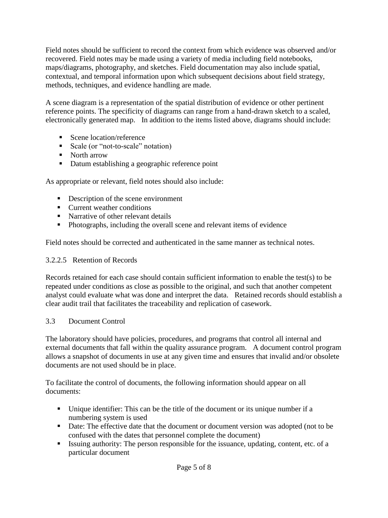Field notes should be sufficient to record the context from which evidence was observed and/or recovered. Field notes may be made using a variety of media including field notebooks, maps/diagrams, photography, and sketches. Field documentation may also include spatial, contextual, and temporal information upon which subsequent decisions about field strategy, methods, techniques, and evidence handling are made.

A scene diagram is a representation of the spatial distribution of evidence or other pertinent reference points. The specificity of diagrams can range from a hand-drawn sketch to a scaled, electronically generated map. In addition to the items listed above, diagrams should include:

- Scene location/reference
- Scale (or "not-to-scale" notation)
- North arrow
- Datum establishing a geographic reference point

As appropriate or relevant, field notes should also include:

- Description of the scene environment
- **Current weather conditions**
- Narrative of other relevant details
- Photographs, including the overall scene and relevant items of evidence

Field notes should be corrected and authenticated in the same manner as technical notes.

### 3.2.2.5 Retention of Records

Records retained for each case should contain sufficient information to enable the test(s) to be repeated under conditions as close as possible to the original, and such that another competent analyst could evaluate what was done and interpret the data. Retained records should establish a clear audit trail that facilitates the traceability and replication of casework.

### 3.3 Document Control

The laboratory should have policies, procedures, and programs that control all internal and external documents that fall within the quality assurance program. A document control program allows a snapshot of documents in use at any given time and ensures that invalid and/or obsolete documents are not used should be in place.

To facilitate the control of documents, the following information should appear on all documents:

- Unique identifier: This can be the title of the document or its unique number if a numbering system is used
- Date: The effective date that the document or document version was adopted (not to be confused with the dates that personnel complete the document)
- Issuing authority: The person responsible for the issuance, updating, content, etc. of a particular document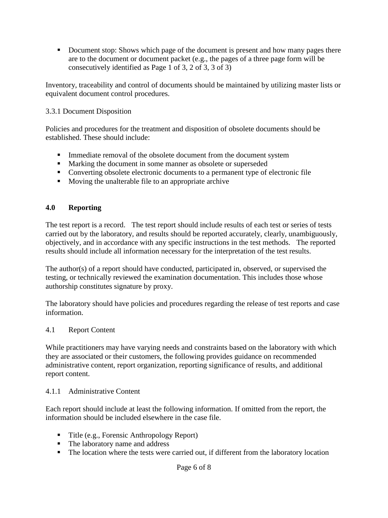Document stop: Shows which page of the document is present and how many pages there are to the document or document packet (e.g., the pages of a three page form will be consecutively identified as Page 1 of 3, 2 of 3, 3 of 3)

Inventory, traceability and control of documents should be maintained by utilizing master lists or equivalent document control procedures.

### 3.3.1 Document Disposition

Policies and procedures for the treatment and disposition of obsolete documents should be established. These should include:

- **Immediate removal of the obsolete document from the document system**
- **Marking the document in some manner as obsolete or superseded**
- Converting obsolete electronic documents to a permanent type of electronic file
- Moving the unalterable file to an appropriate archive

### **4.0 Reporting**

The test report is a record. The test report should include results of each test or series of tests carried out by the laboratory, and results should be reported accurately, clearly, unambiguously, objectively, and in accordance with any specific instructions in the test methods. The reported results should include all information necessary for the interpretation of the test results.

The author(s) of a report should have conducted, participated in, observed, or supervised the testing, or technically reviewed the examination documentation. This includes those whose authorship constitutes signature by proxy.

The laboratory should have policies and procedures regarding the release of test reports and case information.

### 4.1 Report Content

While practitioners may have varying needs and constraints based on the laboratory with which they are associated or their customers, the following provides guidance on recommended administrative content, report organization, reporting significance of results, and additional report content.

#### 4.1.1 Administrative Content

Each report should include at least the following information. If omitted from the report, the information should be included elsewhere in the case file.

- Title (e.g., Forensic Anthropology Report)
- The laboratory name and address
- The location where the tests were carried out, if different from the laboratory location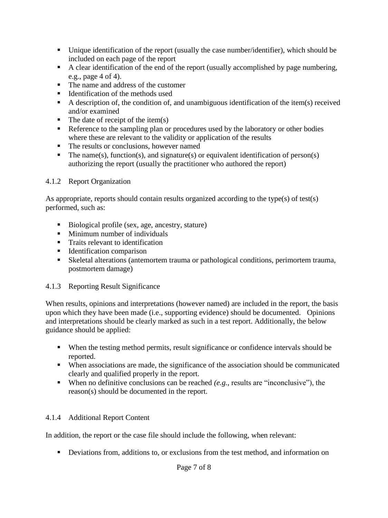- Unique identification of the report (usually the case number/identifier), which should be included on each page of the report
- A clear identification of the end of the report (usually accomplished by page numbering, e.g., page 4 of 4).
- The name and address of the customer
- Identification of the methods used
- A description of, the condition of, and unambiguous identification of the item(s) received and/or examined
- $\blacksquare$  The date of receipt of the item(s)
- Reference to the sampling plan or procedures used by the laboratory or other bodies where these are relevant to the validity or application of the results
- The results or conclusions, however named
- The name(s), function(s), and signature(s) or equivalent identification of person(s) authorizing the report (usually the practitioner who authored the report)

### 4.1.2 Report Organization

As appropriate, reports should contain results organized according to the type(s) of test(s) performed, such as:

- Biological profile (sex, age, ancestry, stature)
- **Minimum number of individuals**
- **Traits relevant to identification**
- Identification comparison
- Skeletal alterations (antemortem trauma or pathological conditions, perimortem trauma, postmortem damage)

### 4.1.3 Reporting Result Significance

When results, opinions and interpretations (however named) are included in the report, the basis upon which they have been made (i.e., supporting evidence) should be documented. Opinions and interpretations should be clearly marked as such in a test report. Additionally, the below guidance should be applied:

- When the testing method permits, result significance or confidence intervals should be reported.
- When associations are made, the significance of the association should be communicated clearly and qualified properly in the report.
- When no definitive conclusions can be reached *(e.g.,* results are "inconclusive"), the reason(s) should be documented in the report.

### 4.1.4 Additional Report Content

In addition, the report or the case file should include the following, when relevant:

Deviations from, additions to, or exclusions from the test method, and information on